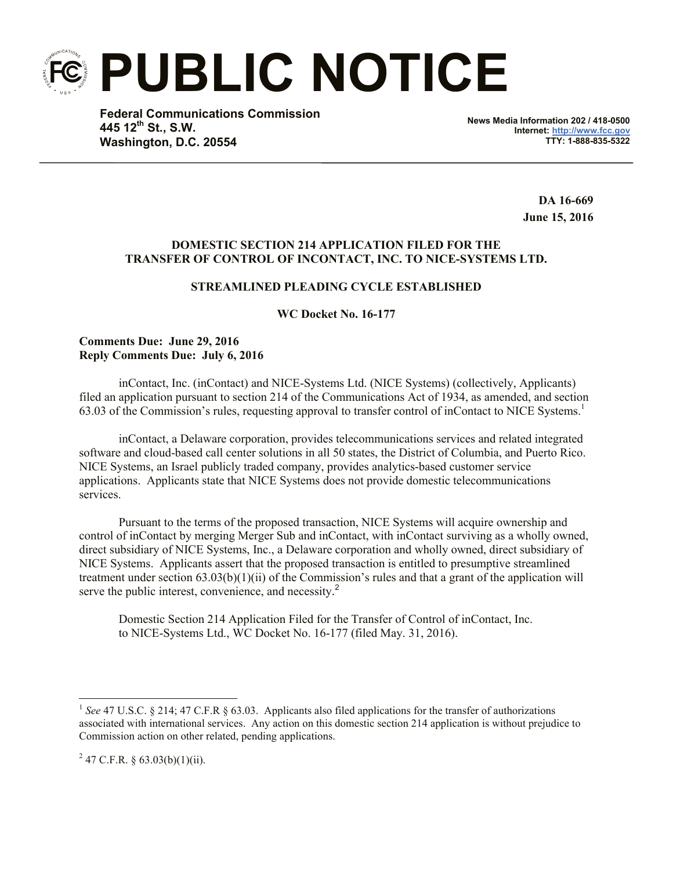**PUBLIC NOTICE**

**Federal Communications Commission 445 12th St., S.W. Washington, D.C. 20554**

**News Media Information 202 / 418-0500 Internet: http://www.fcc.gov TTY: 1-888-835-5322**

> **DA 16-669 June 15, 2016**

## **DOMESTIC SECTION 214 APPLICATION FILED FOR THE TRANSFER OF CONTROL OF INCONTACT, INC. TO NICE-SYSTEMS LTD.**

## **STREAMLINED PLEADING CYCLE ESTABLISHED**

**WC Docket No. 16-177**

**Comments Due: June 29, 2016 Reply Comments Due: July 6, 2016**

inContact, Inc. (inContact) and NICE-Systems Ltd. (NICE Systems) (collectively, Applicants) filed an application pursuant to section 214 of the Communications Act of 1934, as amended, and section 63.03 of the Commission's rules, requesting approval to transfer control of inContact to NICE Systems. 1

inContact, a Delaware corporation, provides telecommunications services and related integrated software and cloud-based call center solutions in all 50 states, the District of Columbia, and Puerto Rico. NICE Systems, an Israel publicly traded company, provides analytics-based customer service applications. Applicants state that NICE Systems does not provide domestic telecommunications services.

Pursuant to the terms of the proposed transaction, NICE Systems will acquire ownership and control of inContact by merging Merger Sub and inContact, with inContact surviving as a wholly owned, direct subsidiary of NICE Systems, Inc., a Delaware corporation and wholly owned, direct subsidiary of NICE Systems. Applicants assert that the proposed transaction is entitled to presumptive streamlined treatment under section  $(63.03(b)(1)(ii)$  of the Commission's rules and that a grant of the application will serve the public interest, convenience, and necessity.<sup>2</sup>

Domestic Section 214 Application Filed for the Transfer of Control of inContact, Inc. to NICE-Systems Ltd., WC Docket No. 16-177 (filed May. 31, 2016).

 $^{2}$  47 C.F.R. § 63.03(b)(1)(ii).

l

<sup>&</sup>lt;sup>1</sup> See 47 U.S.C. § 214; 47 C.F.R § 63.03. Applicants also filed applications for the transfer of authorizations associated with international services. Any action on this domestic section 214 application is without prejudice to Commission action on other related, pending applications.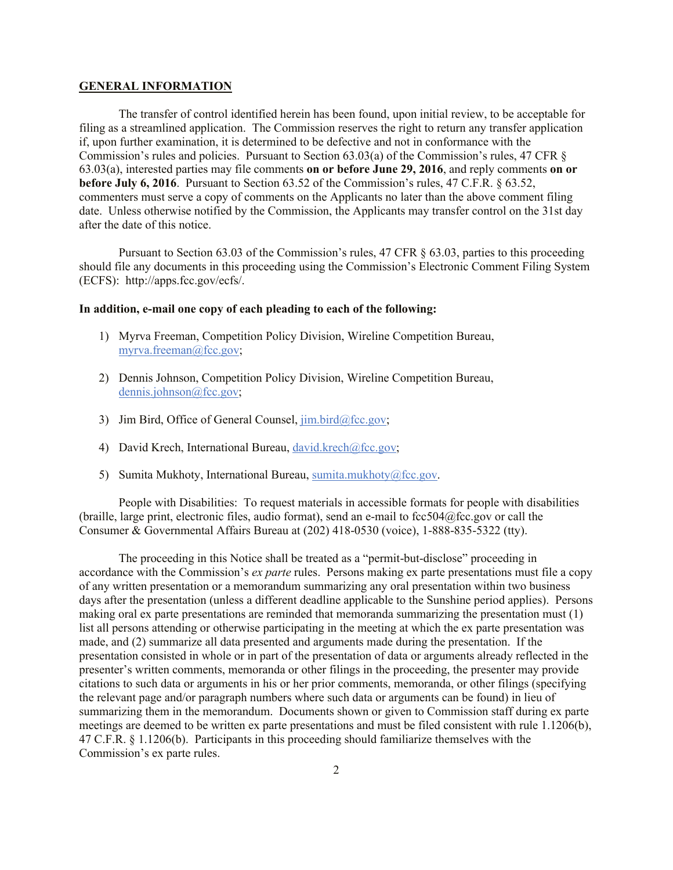## **GENERAL INFORMATION**

The transfer of control identified herein has been found, upon initial review, to be acceptable for filing as a streamlined application. The Commission reserves the right to return any transfer application if, upon further examination, it is determined to be defective and not in conformance with the Commission's rules and policies. Pursuant to Section 63.03(a) of the Commission's rules, 47 CFR § 63.03(a), interested parties may file comments **on or before June 29, 2016**, and reply comments **on or before July 6, 2016**. Pursuant to Section 63.52 of the Commission's rules, 47 C.F.R. § 63.52, commenters must serve a copy of comments on the Applicants no later than the above comment filing date. Unless otherwise notified by the Commission, the Applicants may transfer control on the 31st day after the date of this notice.

Pursuant to Section 63.03 of the Commission's rules, 47 CFR § 63.03, parties to this proceeding should file any documents in this proceeding using the Commission's Electronic Comment Filing System (ECFS): http://apps.fcc.gov/ecfs/.

## **In addition, e-mail one copy of each pleading to each of the following:**

- 1) Myrva Freeman, Competition Policy Division, Wireline Competition Bureau, myrva.freeman@fcc.gov;
- 2) Dennis Johnson, Competition Policy Division, Wireline Competition Bureau, dennis.johnson@fcc.gov;
- 3) Jim Bird, Office of General Counsel,  $\lim_{h \to 0} \frac{\text{bird}}{\text{det} \text{sec}}$ .gov;
- 4) David Krech, International Bureau, david.krech@fcc.gov;
- 5) Sumita Mukhoty, International Bureau, sumita.mukhoty@fcc.gov.

People with Disabilities: To request materials in accessible formats for people with disabilities (braille, large print, electronic files, audio format), send an e-mail to  $fcc504@$ fcc.gov or call the Consumer & Governmental Affairs Bureau at (202) 418-0530 (voice), 1-888-835-5322 (tty).

The proceeding in this Notice shall be treated as a "permit-but-disclose" proceeding in accordance with the Commission's *ex parte* rules. Persons making ex parte presentations must file a copy of any written presentation or a memorandum summarizing any oral presentation within two business days after the presentation (unless a different deadline applicable to the Sunshine period applies). Persons making oral ex parte presentations are reminded that memoranda summarizing the presentation must (1) list all persons attending or otherwise participating in the meeting at which the ex parte presentation was made, and (2) summarize all data presented and arguments made during the presentation. If the presentation consisted in whole or in part of the presentation of data or arguments already reflected in the presenter's written comments, memoranda or other filings in the proceeding, the presenter may provide citations to such data or arguments in his or her prior comments, memoranda, or other filings (specifying the relevant page and/or paragraph numbers where such data or arguments can be found) in lieu of summarizing them in the memorandum. Documents shown or given to Commission staff during ex parte meetings are deemed to be written ex parte presentations and must be filed consistent with rule 1.1206(b), 47 C.F.R. § 1.1206(b). Participants in this proceeding should familiarize themselves with the Commission's ex parte rules.